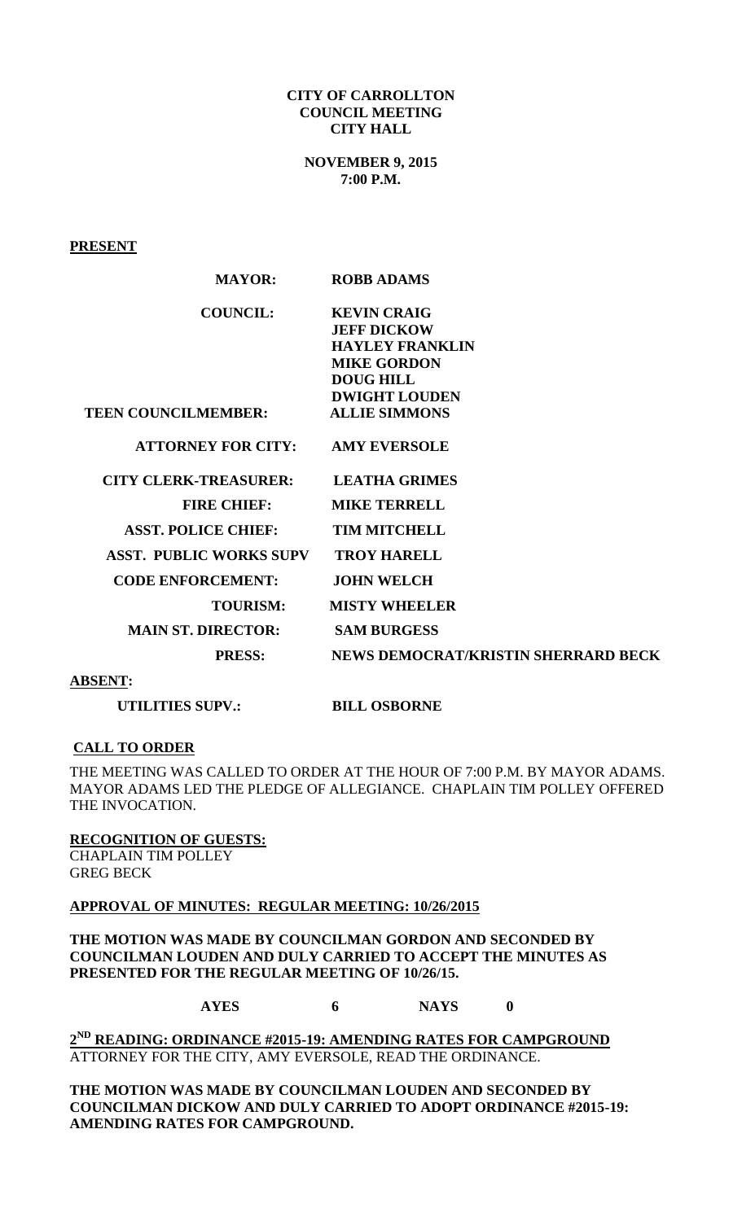#### **CITY OF CARROLLTON COUNCIL MEETING CITY HALL**

**NOVEMBER 9, 2015 7:00 P.M.**

**PRESENT**

| <b>MAYOR:</b>                              | <b>ROBB ADAMS</b>                          |
|--------------------------------------------|--------------------------------------------|
| <b>COUNCIL:</b>                            | <b>KEVIN CRAIG</b>                         |
|                                            | <b>JEFF DICKOW</b>                         |
|                                            | <b>HAYLEY FRANKLIN</b>                     |
|                                            | <b>MIKE GORDON</b>                         |
|                                            | <b>DOUG HILL</b>                           |
|                                            | <b>DWIGHT LOUDEN</b>                       |
| <b>TEEN COUNCILMEMBER:</b>                 | <b>ALLIE SIMMONS</b>                       |
| <b>ATTORNEY FOR CITY:</b>                  | <b>AMY EVERSOLE</b>                        |
| <b>CITY CLERK-TREASURER:</b>               | <b>LEATHA GRIMES</b>                       |
| <b>FIRE CHIEF:</b>                         | <b>MIKE TERRELL</b>                        |
| <b>ASST. POLICE CHIEF:</b>                 | <b>TIM MITCHELL</b>                        |
| <b>ASST. PUBLIC WORKS SUPV</b>             | <b>TROY HARELL</b>                         |
| <b>CODE ENFORCEMENT:</b>                   | <b>JOHN WELCH</b>                          |
| <b>TOURISM:</b>                            | <b>MISTY WHEELER</b>                       |
| <b>MAIN ST. DIRECTOR:</b>                  | <b>SAM BURGESS</b>                         |
| <b>PRESS:</b>                              | <b>NEWS DEMOCRAT/KRISTIN SHERRARD BECK</b> |
| $\sim$ 2000 $\sim$ 2000 $\sim$ 2000 $\sim$ |                                            |

**ABSENT:**

**UTILITIES SUPV.:** BILL OSBORNE

# **CALL TO ORDER**

THE MEETING WAS CALLED TO ORDER AT THE HOUR OF 7:00 P.M. BY MAYOR ADAMS. MAYOR ADAMS LED THE PLEDGE OF ALLEGIANCE. CHAPLAIN TIM POLLEY OFFERED THE INVOCATION.

**RECOGNITION OF GUESTS:** CHAPLAIN TIM POLLEY GREG BECK

# **APPROVAL OF MINUTES: REGULAR MEETING: 10/26/2015**

**THE MOTION WAS MADE BY COUNCILMAN GORDON AND SECONDED BY COUNCILMAN LOUDEN AND DULY CARRIED TO ACCEPT THE MINUTES AS PRESENTED FOR THE REGULAR MEETING OF 10/26/15.**

**AYES 6 NAYS 0**

**2 ND READING: ORDINANCE #2015-19: AMENDING RATES FOR CAMPGROUND** ATTORNEY FOR THE CITY, AMY EVERSOLE, READ THE ORDINANCE.

**THE MOTION WAS MADE BY COUNCILMAN LOUDEN AND SECONDED BY COUNCILMAN DICKOW AND DULY CARRIED TO ADOPT ORDINANCE #2015-19: AMENDING RATES FOR CAMPGROUND.**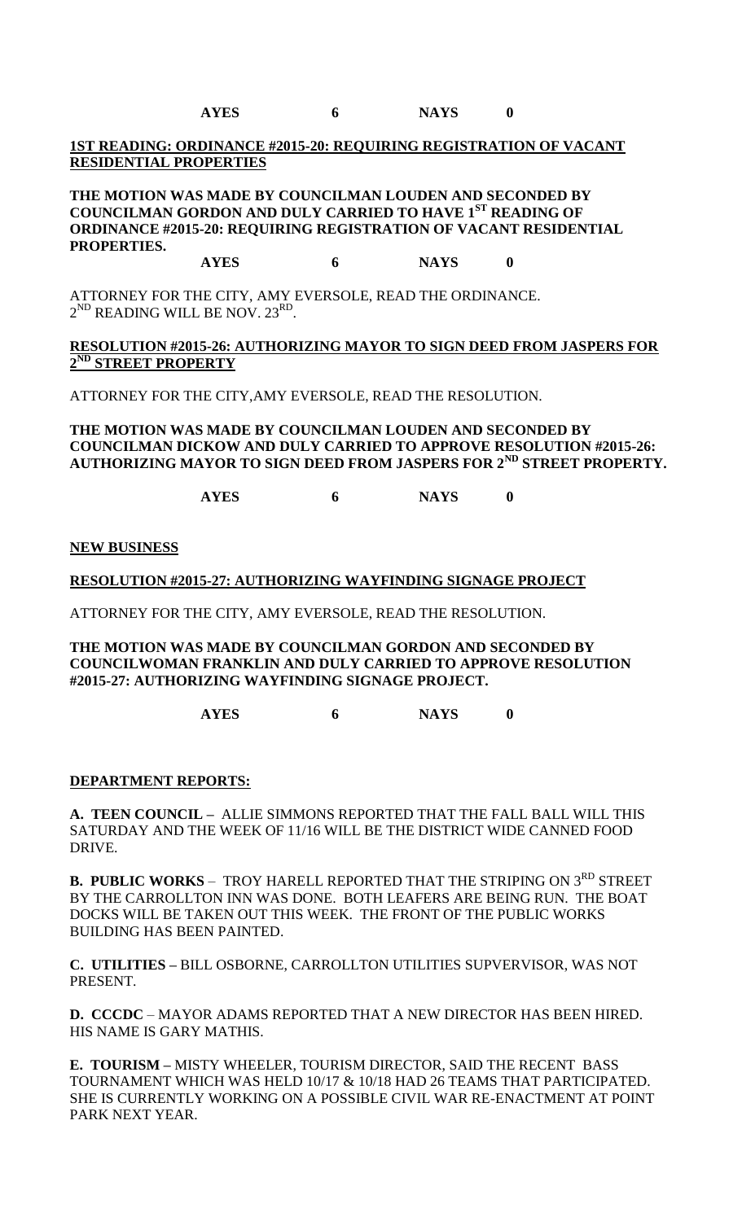**AYES 6 NAYS 0**

# **1ST READING: ORDINANCE #2015-20: REQUIRING REGISTRATION OF VACANT RESIDENTIAL PROPERTIES**

**THE MOTION WAS MADE BY COUNCILMAN LOUDEN AND SECONDED BY COUNCILMAN GORDON AND DULY CARRIED TO HAVE 1ST READING OF ORDINANCE #2015-20: REQUIRING REGISTRATION OF VACANT RESIDENTIAL PROPERTIES.**

### **AYES 6 NAYS 0**

ATTORNEY FOR THE CITY, AMY EVERSOLE, READ THE ORDINANCE.  $2^{\text{ND}}$  READING WILL BE NOV.  $23^{\text{RD}}$ .

# **RESOLUTION #2015-26: AUTHORIZING MAYOR TO SIGN DEED FROM JASPERS FOR 2 ND STREET PROPERTY**

ATTORNEY FOR THE CITY,AMY EVERSOLE, READ THE RESOLUTION.

### **THE MOTION WAS MADE BY COUNCILMAN LOUDEN AND SECONDED BY COUNCILMAN DICKOW AND DULY CARRIED TO APPROVE RESOLUTION #2015-26: AUTHORIZING MAYOR TO SIGN DEED FROM JASPERS FOR 2ND STREET PROPERTY.**

**AYES 6 NAYS 0**

#### **NEW BUSINESS**

**RESOLUTION #2015-27: AUTHORIZING WAYFINDING SIGNAGE PROJECT** 

ATTORNEY FOR THE CITY, AMY EVERSOLE, READ THE RESOLUTION.

**THE MOTION WAS MADE BY COUNCILMAN GORDON AND SECONDED BY COUNCILWOMAN FRANKLIN AND DULY CARRIED TO APPROVE RESOLUTION #2015-27: AUTHORIZING WAYFINDING SIGNAGE PROJECT.**

**AYES 6 NAYS 0**

# **DEPARTMENT REPORTS:**

**A. TEEN COUNCIL –** ALLIE SIMMONS REPORTED THAT THE FALL BALL WILL THIS SATURDAY AND THE WEEK OF 11/16 WILL BE THE DISTRICT WIDE CANNED FOOD DRIVE.

**B. PUBLIC WORKS** – TROY HARELL REPORTED THAT THE STRIPING ON 3<sup>RD</sup> STREET BY THE CARROLLTON INN WAS DONE. BOTH LEAFERS ARE BEING RUN. THE BOAT DOCKS WILL BE TAKEN OUT THIS WEEK. THE FRONT OF THE PUBLIC WORKS BUILDING HAS BEEN PAINTED.

**C. UTILITIES –** BILL OSBORNE, CARROLLTON UTILITIES SUPVERVISOR, WAS NOT PRESENT.

**D. CCCDC** – MAYOR ADAMS REPORTED THAT A NEW DIRECTOR HAS BEEN HIRED. HIS NAME IS GARY MATHIS.

**E. TOURISM –** MISTY WHEELER, TOURISM DIRECTOR, SAID THE RECENT BASS TOURNAMENT WHICH WAS HELD 10/17 & 10/18 HAD 26 TEAMS THAT PARTICIPATED. SHE IS CURRENTLY WORKING ON A POSSIBLE CIVIL WAR RE-ENACTMENT AT POINT PARK NEXT YEAR.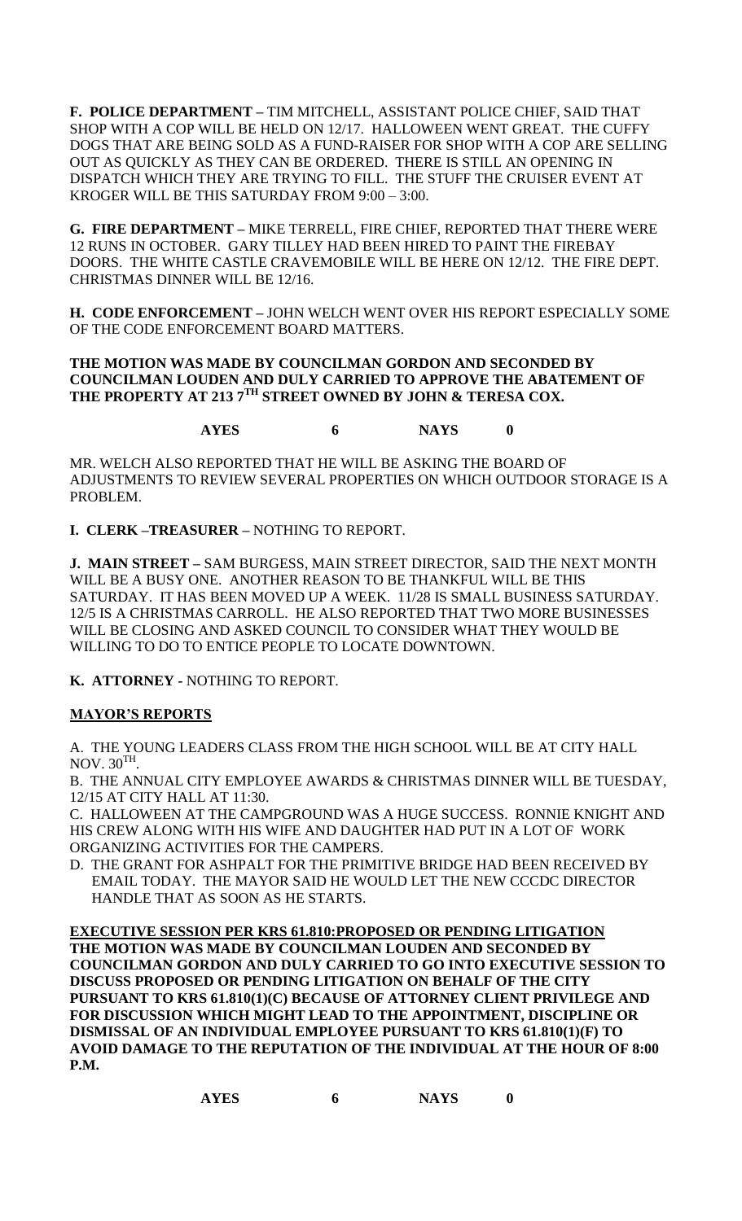**F. POLICE DEPARTMENT –** TIM MITCHELL, ASSISTANT POLICE CHIEF, SAID THAT SHOP WITH A COP WILL BE HELD ON 12/17. HALLOWEEN WENT GREAT. THE CUFFY DOGS THAT ARE BEING SOLD AS A FUND-RAISER FOR SHOP WITH A COP ARE SELLING OUT AS QUICKLY AS THEY CAN BE ORDERED. THERE IS STILL AN OPENING IN DISPATCH WHICH THEY ARE TRYING TO FILL. THE STUFF THE CRUISER EVENT AT KROGER WILL BE THIS SATURDAY FROM 9:00 – 3:00.

**G. FIRE DEPARTMENT –** MIKE TERRELL, FIRE CHIEF, REPORTED THAT THERE WERE 12 RUNS IN OCTOBER. GARY TILLEY HAD BEEN HIRED TO PAINT THE FIREBAY DOORS. THE WHITE CASTLE CRAVEMOBILE WILL BE HERE ON 12/12. THE FIRE DEPT. CHRISTMAS DINNER WILL BE 12/16.

**H. CODE ENFORCEMENT –** JOHN WELCH WENT OVER HIS REPORT ESPECIALLY SOME OF THE CODE ENFORCEMENT BOARD MATTERS.

# **THE MOTION WAS MADE BY COUNCILMAN GORDON AND SECONDED BY COUNCILMAN LOUDEN AND DULY CARRIED TO APPROVE THE ABATEMENT OF THE PROPERTY AT 213 7TH STREET OWNED BY JOHN & TERESA COX.**

**AYES 6 NAYS 0**

MR. WELCH ALSO REPORTED THAT HE WILL BE ASKING THE BOARD OF ADJUSTMENTS TO REVIEW SEVERAL PROPERTIES ON WHICH OUTDOOR STORAGE IS A PROBLEM.

**I. CLERK –TREASURER –** NOTHING TO REPORT.

**J. MAIN STREET –** SAM BURGESS, MAIN STREET DIRECTOR, SAID THE NEXT MONTH WILL BE A BUSY ONE. ANOTHER REASON TO BE THANKFUL WILL BE THIS SATURDAY. IT HAS BEEN MOVED UP A WEEK. 11/28 IS SMALL BUSINESS SATURDAY. 12/5 IS A CHRISTMAS CARROLL. HE ALSO REPORTED THAT TWO MORE BUSINESSES WILL BE CLOSING AND ASKED COUNCIL TO CONSIDER WHAT THEY WOULD BE WILLING TO DO TO ENTICE PEOPLE TO LOCATE DOWNTOWN.

**K. ATTORNEY -** NOTHING TO REPORT.

# **MAYOR'S REPORTS**

A. THE YOUNG LEADERS CLASS FROM THE HIGH SCHOOL WILL BE AT CITY HALL  $NOV. 30<sup>TH</sup>.$ 

B. THE ANNUAL CITY EMPLOYEE AWARDS & CHRISTMAS DINNER WILL BE TUESDAY, 12/15 AT CITY HALL AT 11:30.

C. HALLOWEEN AT THE CAMPGROUND WAS A HUGE SUCCESS. RONNIE KNIGHT AND HIS CREW ALONG WITH HIS WIFE AND DAUGHTER HAD PUT IN A LOT OF WORK ORGANIZING ACTIVITIES FOR THE CAMPERS.

D. THE GRANT FOR ASHPALT FOR THE PRIMITIVE BRIDGE HAD BEEN RECEIVED BY EMAIL TODAY. THE MAYOR SAID HE WOULD LET THE NEW CCCDC DIRECTOR HANDLE THAT AS SOON AS HE STARTS.

**EXECUTIVE SESSION PER KRS 61.810:PROPOSED OR PENDING LITIGATION THE MOTION WAS MADE BY COUNCILMAN LOUDEN AND SECONDED BY COUNCILMAN GORDON AND DULY CARRIED TO GO INTO EXECUTIVE SESSION TO DISCUSS PROPOSED OR PENDING LITIGATION ON BEHALF OF THE CITY PURSUANT TO KRS 61.810(1)(C) BECAUSE OF ATTORNEY CLIENT PRIVILEGE AND FOR DISCUSSION WHICH MIGHT LEAD TO THE APPOINTMENT, DISCIPLINE OR DISMISSAL OF AN INDIVIDUAL EMPLOYEE PURSUANT TO KRS 61.810(1)(F) TO AVOID DAMAGE TO THE REPUTATION OF THE INDIVIDUAL AT THE HOUR OF 8:00 P.M.**

| <b>AYES</b> |  | <b>NAYS</b> |  |
|-------------|--|-------------|--|
|-------------|--|-------------|--|